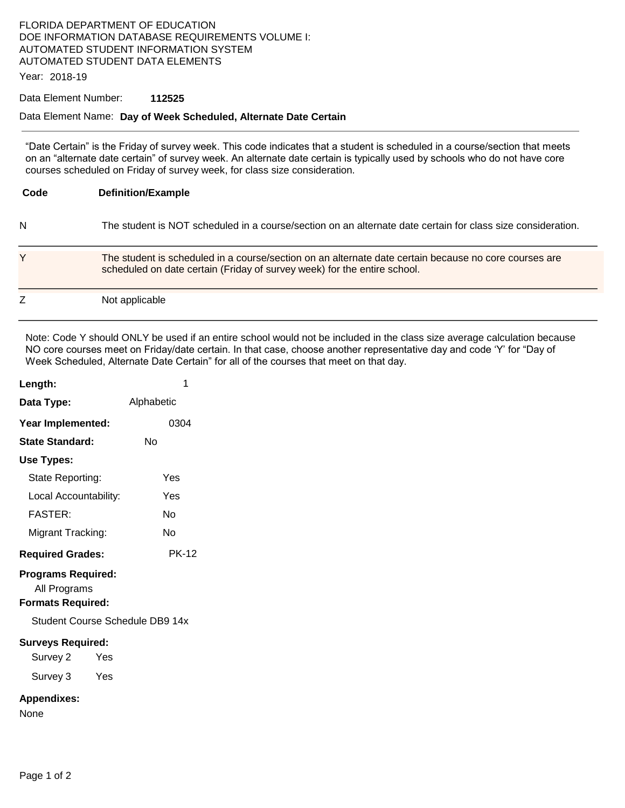### FLORIDA DEPARTMENT OF EDUCATION DOE INFORMATION DATABASE REQUIREMENTS VOLUME I: AUTOMATED STUDENT INFORMATION SYSTEM AUTOMATED STUDENT DATA ELEMENTS

Year: 2018-19

#### Data Element Number: **112525**

### Data Element Name: **Day of Week Scheduled, Alternate Date Certain**

"Date Certain" is the Friday of survey week. This code indicates that a student is scheduled in a course/section that meets on an "alternate date certain" of survey week. An alternate date certain is typically used by schools who do not have core courses scheduled on Friday of survey week, for class size consideration.

| Code | <b>Definition/Example</b>                                                                                                                                                         |
|------|-----------------------------------------------------------------------------------------------------------------------------------------------------------------------------------|
| N    | The student is NOT scheduled in a course/section on an alternate date certain for class size consideration.                                                                       |
| Y    | The student is scheduled in a course/section on an alternate date certain because no core courses are<br>scheduled on date certain (Friday of survey week) for the entire school. |
|      | Not applicable                                                                                                                                                                    |

Note: Code Y should ONLY be used if an entire school would not be included in the class size average calculation because NO core courses meet on Friday/date certain. In that case, choose another representative day and code 'Y' for "Day of Week Scheduled, Alternate Date Certain" for all of the courses that meet on that day.

| Length:                                                               | 1            |  |  |  |
|-----------------------------------------------------------------------|--------------|--|--|--|
| Data Type:                                                            | Alphabetic   |  |  |  |
| Year Implemented:                                                     | 0304         |  |  |  |
| <b>State Standard:</b>                                                | N٥           |  |  |  |
| Use Types:                                                            |              |  |  |  |
| State Reporting:                                                      | Yes          |  |  |  |
| Local Accountability:                                                 | Yes          |  |  |  |
| <b>FASTER:</b>                                                        | Nο           |  |  |  |
| Migrant Tracking:                                                     | No           |  |  |  |
| <b>Required Grades:</b>                                               | <b>PK-12</b> |  |  |  |
| <b>Programs Required:</b><br>All Programs<br><b>Formats Required:</b> |              |  |  |  |
| Student Course Schedule DB9 14x                                       |              |  |  |  |
| <b>Surveys Required:</b><br>Survey 2<br>Yes<br>Survey 3<br>Yes        |              |  |  |  |
| <b>Appendixes:</b><br>None                                            |              |  |  |  |